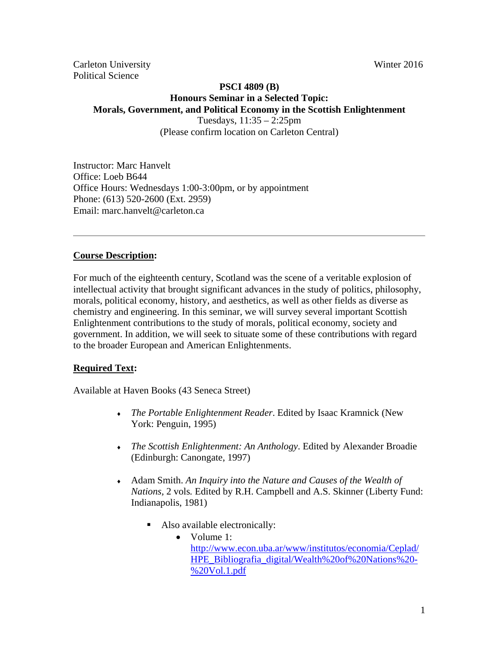Carleton University Winter 2016 Political Science

# **PSCI 4809 (B) Honours Seminar in a Selected Topic: Morals, Government, and Political Economy in the Scottish Enlightenment**

Tuesdays, 11:35 – 2:25pm (Please confirm location on Carleton Central)

Instructor: Marc Hanvelt Office: Loeb B644 Office Hours: Wednesdays 1:00-3:00pm, or by appointment Phone: (613) 520-2600 (Ext. 2959) Email: marc.hanvelt@carleton.ca

### **Course Description:**

For much of the eighteenth century, Scotland was the scene of a veritable explosion of intellectual activity that brought significant advances in the study of politics, philosophy, morals, political economy, history, and aesthetics, as well as other fields as diverse as chemistry and engineering. In this seminar, we will survey several important Scottish Enlightenment contributions to the study of morals, political economy, society and government. In addition, we will seek to situate some of these contributions with regard to the broader European and American Enlightenments.

#### **Required Text:**

Available at Haven Books (43 Seneca Street)

- *The Portable Enlightenment Reader*. Edited by Isaac Kramnick (New York: Penguin, 1995)
- *The Scottish Enlightenment: An Anthology*. Edited by Alexander Broadie (Edinburgh: Canongate, 1997)
- Adam Smith. *An Inquiry into the Nature and Causes of the Wealth of Nations,* 2 vols*.* Edited by R.H. Campbell and A.S. Skinner (Liberty Fund: Indianapolis, 1981)
	- Also available electronically:
		- Volume 1: http://www.econ.uba.ar/www/institutos/economia/Ceplad/ HPE\_Bibliografia\_digital/Wealth%20of%20Nations%20- %20Vol.1.pdf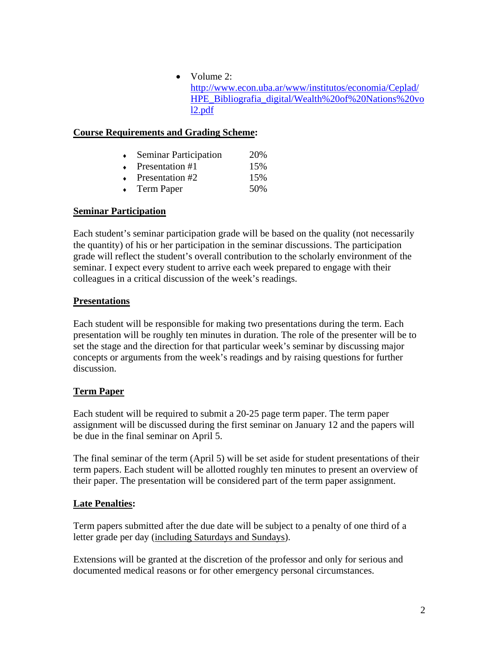$\bullet$  Volume 2: http://www.econ.uba.ar/www/institutos/economia/Ceplad/ HPE\_Bibliografia\_digital/Wealth%20of%20Nations%20vo l2.pdf

## **Course Requirements and Grading Scheme:**

|  | <b>Seminar Participation</b> | 20% |
|--|------------------------------|-----|
|--|------------------------------|-----|

- Presentation #1 15%
- Presentation #2 15%
- Term Paper 50%

## **Seminar Participation**

Each student's seminar participation grade will be based on the quality (not necessarily the quantity) of his or her participation in the seminar discussions. The participation grade will reflect the student's overall contribution to the scholarly environment of the seminar. I expect every student to arrive each week prepared to engage with their colleagues in a critical discussion of the week's readings.

### **Presentations**

Each student will be responsible for making two presentations during the term. Each presentation will be roughly ten minutes in duration. The role of the presenter will be to set the stage and the direction for that particular week's seminar by discussing major concepts or arguments from the week's readings and by raising questions for further discussion.

### **Term Paper**

Each student will be required to submit a 20-25 page term paper. The term paper assignment will be discussed during the first seminar on January 12 and the papers will be due in the final seminar on April 5.

The final seminar of the term (April 5) will be set aside for student presentations of their term papers. Each student will be allotted roughly ten minutes to present an overview of their paper. The presentation will be considered part of the term paper assignment.

## **Late Penalties:**

Term papers submitted after the due date will be subject to a penalty of one third of a letter grade per day (including Saturdays and Sundays).

Extensions will be granted at the discretion of the professor and only for serious and documented medical reasons or for other emergency personal circumstances.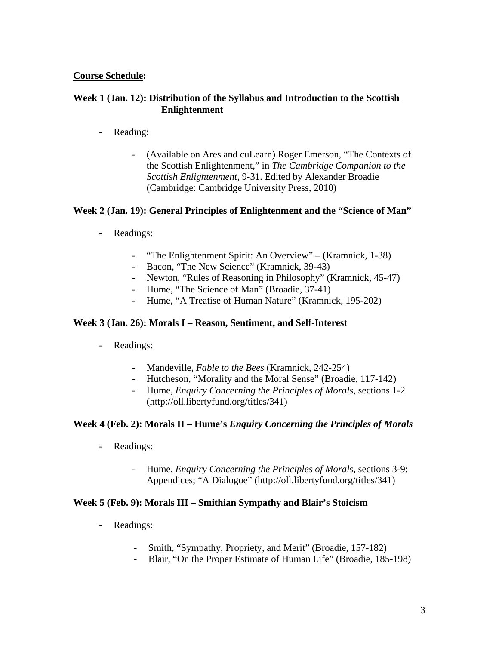### **Course Schedule:**

### **Week 1 (Jan. 12): Distribution of the Syllabus and Introduction to the Scottish Enlightenment**

- Reading:
	- (Available on Ares and cuLearn) Roger Emerson, "The Contexts of the Scottish Enlightenment," in *The Cambridge Companion to the Scottish Enlightenment,* 9-31. Edited by Alexander Broadie (Cambridge: Cambridge University Press, 2010)

### **Week 2 (Jan. 19): General Principles of Enlightenment and the "Science of Man"**

- Readings:
	- "The Enlightenment Spirit: An Overview" (Kramnick, 1-38)
	- Bacon, "The New Science" (Kramnick, 39-43)
	- Newton, "Rules of Reasoning in Philosophy" (Kramnick, 45-47)
	- Hume, "The Science of Man" (Broadie, 37-41)
	- Hume, "A Treatise of Human Nature" (Kramnick, 195-202)

#### **Week 3 (Jan. 26): Morals I – Reason, Sentiment, and Self-Interest**

- Readings:
	- Mandeville, *Fable to the Bees* (Kramnick, 242-254)
	- Hutcheson, "Morality and the Moral Sense" (Broadie, 117-142)
	- Hume, *Enquiry Concerning the Principles of Morals*, sections 1-2 (http://oll.libertyfund.org/titles/341)

### **Week 4 (Feb. 2): Morals II – Hume's** *Enquiry Concerning the Principles of Morals*

- Readings:
	- Hume, *Enquiry Concerning the Principles of Morals*, sections 3-9; Appendices; "A Dialogue" (http://oll.libertyfund.org/titles/341)

#### **Week 5 (Feb. 9): Morals III – Smithian Sympathy and Blair's Stoicism**

- Readings:
	- Smith, "Sympathy, Propriety, and Merit" (Broadie, 157-182)
	- Blair, "On the Proper Estimate of Human Life" (Broadie, 185-198)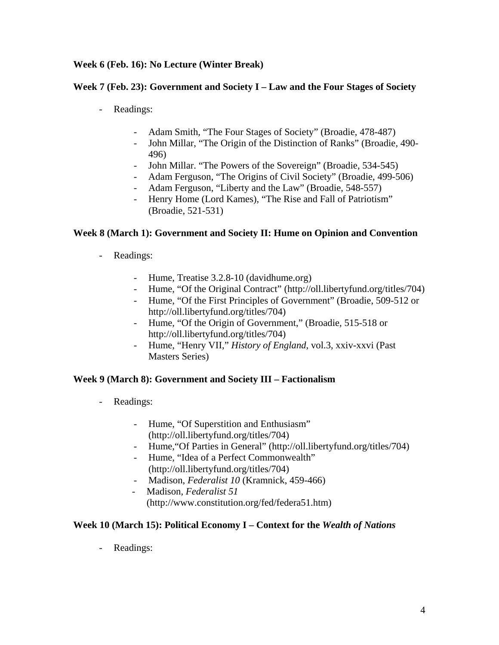## **Week 6 (Feb. 16): No Lecture (Winter Break)**

### **Week 7 (Feb. 23): Government and Society I – Law and the Four Stages of Society**

- Readings:
	- Adam Smith, "The Four Stages of Society" (Broadie, 478-487)
	- John Millar, "The Origin of the Distinction of Ranks" (Broadie, 490- 496)
	- John Millar. "The Powers of the Sovereign" (Broadie, 534-545)
	- Adam Ferguson, "The Origins of Civil Society" (Broadie, 499-506)
	- Adam Ferguson, "Liberty and the Law" (Broadie, 548-557)
	- Henry Home (Lord Kames), "The Rise and Fall of Patriotism" (Broadie, 521-531)

### **Week 8 (March 1): Government and Society II: Hume on Opinion and Convention**

- Readings:
	- Hume, Treatise 3.2.8-10 (davidhume.org)
	- Hume, "Of the Original Contract" (http://oll.libertyfund.org/titles/704)
	- Hume, "Of the First Principles of Government" (Broadie, 509-512 or http://oll.libertyfund.org/titles/704)
	- Hume, "Of the Origin of Government," (Broadie, 515-518 or http://oll.libertyfund.org/titles/704)
	- Hume, "Henry VII," *History of England*, vol.3, xxiv-xxvi (Past Masters Series)

### **Week 9 (March 8): Government and Society III – Factionalism**

- Readings:
	- Hume, "Of Superstition and Enthusiasm" (http://oll.libertyfund.org/titles/704)
	- Hume,"Of Parties in General" (http://oll.libertyfund.org/titles/704)
	- Hume, "Idea of a Perfect Commonwealth" (http://oll.libertyfund.org/titles/704)
	- Madison, *Federalist 10* (Kramnick, 459-466)
	- Madison, *Federalist 51*  (http://www.constitution.org/fed/federa51.htm)

### **Week 10 (March 15): Political Economy I – Context for the** *Wealth of Nations*

- Readings: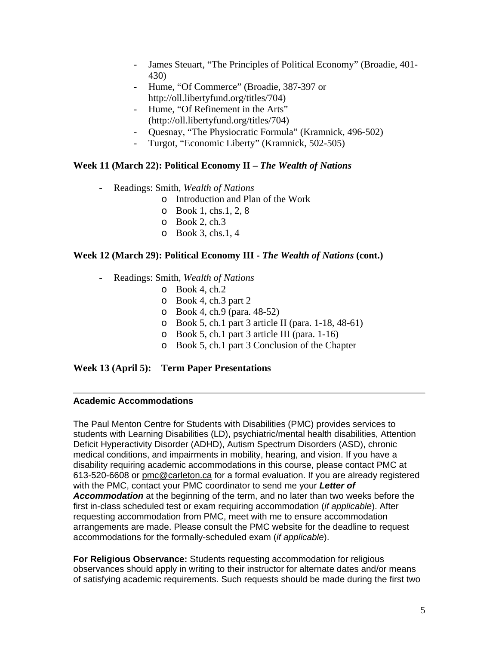- James Steuart, "The Principles of Political Economy" (Broadie, 401- 430)
- Hume, "Of Commerce" (Broadie, 387-397 or http://oll.libertyfund.org/titles/704)
- Hume, "Of Refinement in the Arts" (http://oll.libertyfund.org/titles/704)
- Quesnay, "The Physiocratic Formula" (Kramnick, 496-502)
- Turgot, "Economic Liberty" (Kramnick, 502-505)

### **Week 11 (March 22): Political Economy II –** *The Wealth of Nations*

- Readings: Smith, *Wealth of Nations*
	- o Introduction and Plan of the Work
	- o Book 1, chs.1, 2, 8
	- $\circ$  Book 2, ch.3
	- o Book 3, chs.1, 4

### **Week 12 (March 29): Political Economy III -** *The Wealth of Nations* **(cont.)**

- Readings: Smith, *Wealth of Nations*
	- $\circ$  Book 4, ch.2
	- o Book 4, ch.3 part 2
	- o Book 4, ch.9 (para. 48-52)
	- o Book 5, ch.1 part 3 article II (para. 1-18, 48-61)
	- o Book 5, ch.1 part 3 article III (para. 1-16)
	- o Book 5, ch.1 part 3 Conclusion of the Chapter

### **Week 13 (April 5): Term Paper Presentations**

#### **Academic Accommodations**

The Paul Menton Centre for Students with Disabilities (PMC) provides services to students with Learning Disabilities (LD), psychiatric/mental health disabilities, Attention Deficit Hyperactivity Disorder (ADHD), Autism Spectrum Disorders (ASD), chronic medical conditions, and impairments in mobility, hearing, and vision. If you have a disability requiring academic accommodations in this course, please contact PMC at 613-520-6608 or pmc@carleton.ca for a formal evaluation. If you are already registered with the PMC, contact your PMC coordinator to send me your *Letter of Accommodation* at the beginning of the term, and no later than two weeks before the first in-class scheduled test or exam requiring accommodation (*if applicable*). After requesting accommodation from PMC, meet with me to ensure accommodation arrangements are made. Please consult the PMC website for the deadline to request accommodations for the formally-scheduled exam (*if applicable*).

**For Religious Observance:** Students requesting accommodation for religious observances should apply in writing to their instructor for alternate dates and/or means of satisfying academic requirements. Such requests should be made during the first two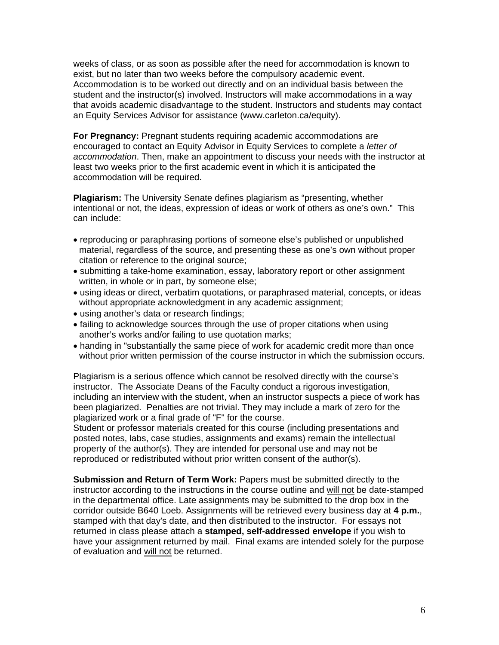weeks of class, or as soon as possible after the need for accommodation is known to exist, but no later than two weeks before the compulsory academic event. Accommodation is to be worked out directly and on an individual basis between the student and the instructor(s) involved. Instructors will make accommodations in a way that avoids academic disadvantage to the student. Instructors and students may contact an Equity Services Advisor for assistance (www.carleton.ca/equity).

**For Pregnancy:** Pregnant students requiring academic accommodations are encouraged to contact an Equity Advisor in Equity Services to complete a *letter of accommodation*. Then, make an appointment to discuss your needs with the instructor at least two weeks prior to the first academic event in which it is anticipated the accommodation will be required.

**Plagiarism:** The University Senate defines plagiarism as "presenting, whether intentional or not, the ideas, expression of ideas or work of others as one's own." This can include:

- reproducing or paraphrasing portions of someone else's published or unpublished material, regardless of the source, and presenting these as one's own without proper citation or reference to the original source;
- submitting a take-home examination, essay, laboratory report or other assignment written, in whole or in part, by someone else;
- using ideas or direct, verbatim quotations, or paraphrased material, concepts, or ideas without appropriate acknowledgment in any academic assignment;
- using another's data or research findings;
- failing to acknowledge sources through the use of proper citations when using another's works and/or failing to use quotation marks;
- handing in "substantially the same piece of work for academic credit more than once without prior written permission of the course instructor in which the submission occurs.

Plagiarism is a serious offence which cannot be resolved directly with the course's instructor. The Associate Deans of the Faculty conduct a rigorous investigation, including an interview with the student, when an instructor suspects a piece of work has been plagiarized. Penalties are not trivial. They may include a mark of zero for the plagiarized work or a final grade of "F" for the course.

Student or professor materials created for this course (including presentations and posted notes, labs, case studies, assignments and exams) remain the intellectual property of the author(s). They are intended for personal use and may not be reproduced or redistributed without prior written consent of the author(s).

**Submission and Return of Term Work:** Papers must be submitted directly to the instructor according to the instructions in the course outline and will not be date-stamped in the departmental office. Late assignments may be submitted to the drop box in the corridor outside B640 Loeb. Assignments will be retrieved every business day at **4 p.m.**, stamped with that day's date, and then distributed to the instructor. For essays not returned in class please attach a **stamped, self-addressed envelope** if you wish to have your assignment returned by mail. Final exams are intended solely for the purpose of evaluation and will not be returned.